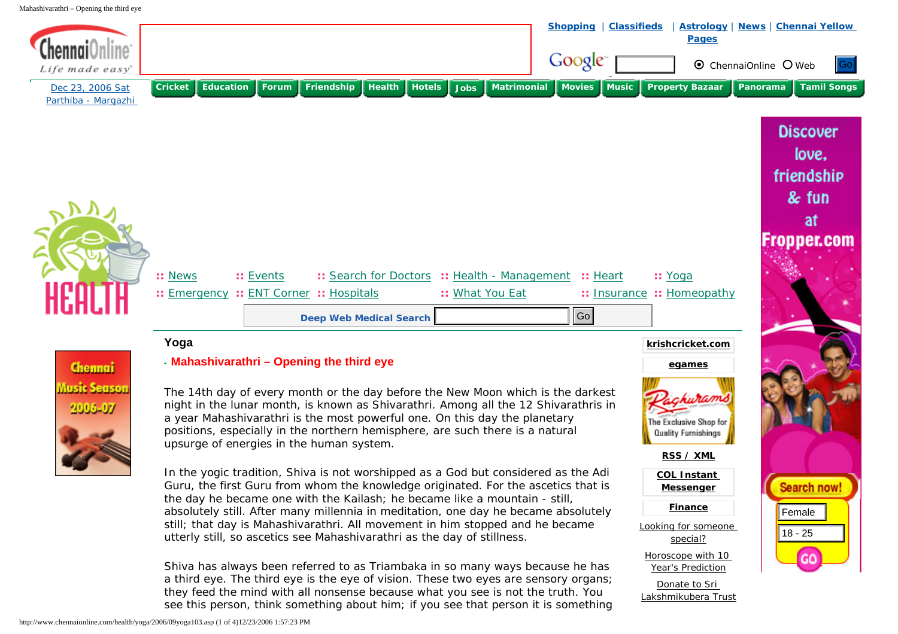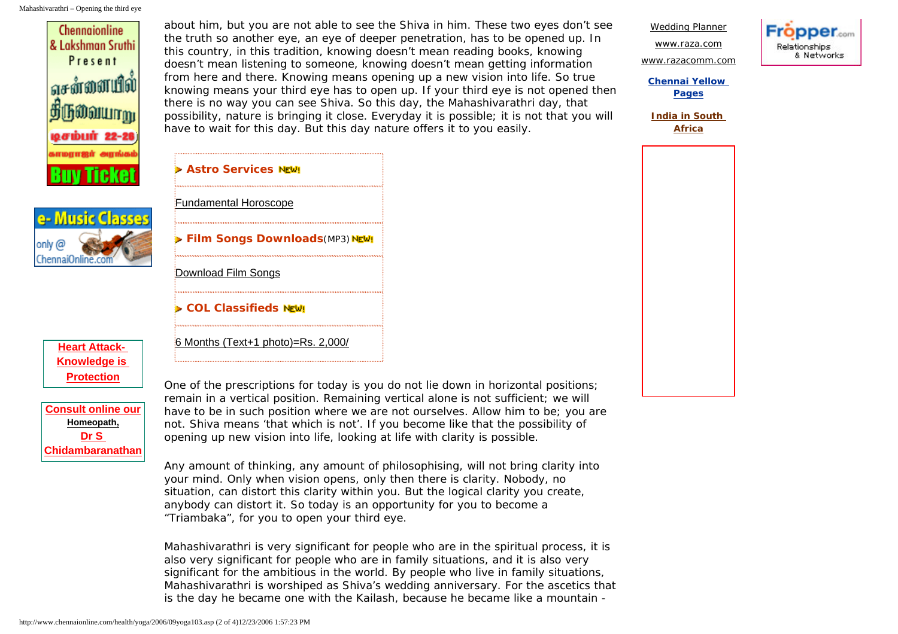

only *(d* ChennaiOnline.com

> **[Heart Attack-](http://www.chennaionline.com/Go/GoClick.asp?GoId=742&ActualURL=http://www.chennaionline.com/promos/heart/)[Knowledge is](http://www.chennaionline.com/Go/GoClick.asp?GoId=742&ActualURL=http://www.chennaionline.com/promos/heart/)  [Protection](http://www.chennaionline.com/Go/GoClick.asp?GoId=742&ActualURL=http://www.chennaionline.com/promos/heart/)**

**[Consult online our](http://www.chennaionline.com/health/Homoeopathy/onlineconsultation/onlineconsultation.asp) [Homeopath,](http://www.chennaionline.com/health/Homoeopathy/onlineconsultation/onlineconsultation.asp) [Dr S](http://www.chennaionline.com/health/Homoeopathy/onlineconsultation/onlineconsultation.asp) [Chidambaranathan](http://www.chennaionline.com/health/Homoeopathy/onlineconsultation/onlineconsultation.asp)** about him, but you are not able to see the Shiva in him. These two eyes don't see the truth so another eye, an eye of deeper penetration, has to be opened up. In this country, in this tradition, knowing doesn't mean reading books, knowing doesn't mean listening to someone, knowing doesn't mean getting information from here and there. Knowing means opening up a new vision into life. So true knowing means your third eye has to open up. If your third eye is not opened then there is no way you can see Shiva. So this day, the Mahashivarathri day, that possibility, nature is bringing it close. Everyday it is possible; it is not that you will have to wait for this day. But this day nature offers it to you easily.



[www.razacomm.com](http://www.chennaionline.com/Go/GoClick.asp?GoId=540&ActualURL=http://www.razacomm.com/) **[Chennai Yellow](http://www.chennaionline.com/Go/GoClick.asp?GoId=772&ActualURL=http://yellowpages.chennaionline.com/IndexYP.aspx)** 

[Wedding Planner](http://www.shaadi.com/weddingplanning/planner.php?ptnr=cotxt) [www.raza.com](http://www.chennaionline.com/Go/GoClick.asp?GoId=565&ActualURL=http://www.raza.com/)

**[Pages](http://www.chennaionline.com/Go/GoClick.asp?GoId=772&ActualURL=http://yellowpages.chennaionline.com/IndexYP.aspx)**

**[India in South](http://www.chennaionline.com/cricket/IndinSA06/index.asp)  [Africa](http://www.chennaionline.com/cricket/IndinSA06/index.asp)**

|                     | > Astro Services NEW!  |                                             |
|---------------------|------------------------|---------------------------------------------|
|                     | Fundamental Horoscope  |                                             |
|                     |                        | <b>&gt; Film Songs Downloads</b> (MP3) NEW! |
| Download Film Songs |                        |                                             |
|                     | ▶ COL Classifieds NeW! |                                             |

One of the prescriptions for today is you do not lie down in horizontal positions; remain in a vertical position. Remaining vertical alone is not sufficient; we will have to be in such position where we are not ourselves. Allow him to be; you are not. Shiva means 'that which is not'. If you become like that the possibility of opening up new vision into life, looking at life with clarity is possible.

Any amount of thinking, any amount of philosophising, will not bring clarity into your mind. Only when vision opens, only then there is clarity. Nobody, no situation, can distort this clarity within you. But the logical clarity you create, anybody can distort it. So today is an opportunity for you to become a "Triambaka", for you to open your third eye.

Mahashivarathri is very significant for people who are in the spiritual process, it is also very significant for people who are in family situations, and it is also very significant for the ambitious in the world. By people who live in family situations, Mahashivarathri is worshiped as Shiva's wedding anniversary. For the ascetics that is the day he became one with the Kailash, because he became like a mountain -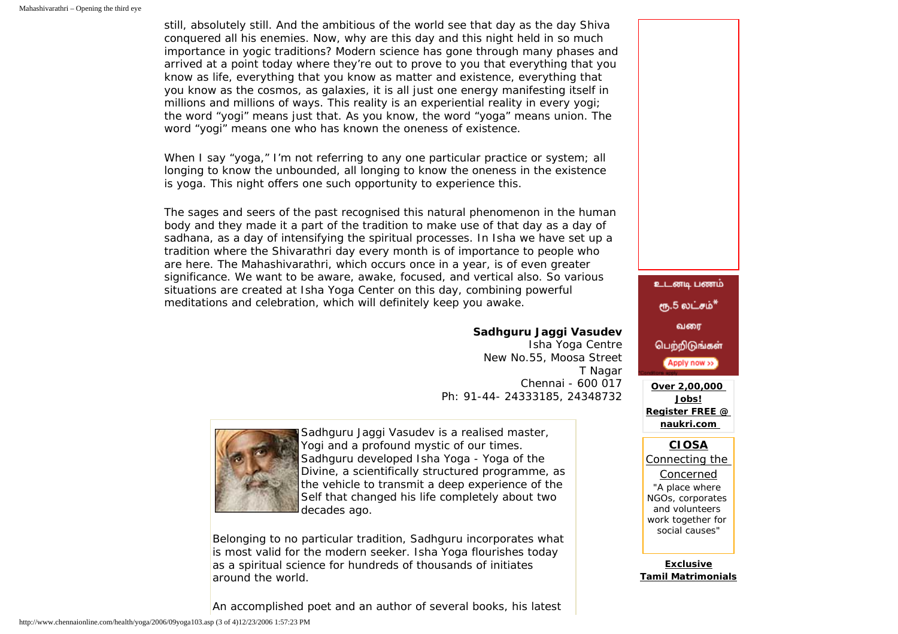still, absolutely still. And the ambitious of the world see that day as the day Shiva conquered all his enemies. Now, why are this day and this night held in so much importance in yogic traditions? Modern science has gone through many phases and arrived at a point today where they're out to prove to you that everything that you know as life, everything that you know as matter and existence, everything that you know as the cosmos, as galaxies, it is all just one energy manifesting itself in millions and millions of ways. This reality is an experiential reality in every yogi; the word "yogi" means just that. As you know, the word "yoga" means union. The word "yogi" means one who has known the oneness of existence.

When I say "yoga," I'm not referring to any one particular practice or system; all longing to know the unbounded, all longing to know the oneness in the existence is yoga. This night offers one such opportunity to experience this.

The sages and seers of the past recognised this natural phenomenon in the human body and they made it a part of the tradition to make use of that day as a day of sadhana, as a day of intensifying the spiritual processes. In Isha we have set up a tradition where the Shivarathri day every month is of importance to people who are here. The Mahashivarathri, which occurs once in a year, is of even greater significance. We want to be aware, awake, focused, and vertical also. So various situations are created at Isha Yoga Center on this day, combining powerful meditations and celebration, which will definitely keep you awake.

## **Sadhguru Jaggi Vasudev**

Isha Yoga Centre New No.55, Moosa Street T Nagar Chennai - 600 017 Ph: 91-44- 24333185, 24348732



Sadhguru Jaggi Vasudev is a realised master, Yogi and a profound mystic of our times. Sadhguru developed Isha Yoga - Yoga of the Divine, a scientifically structured programme, as the vehicle to transmit a deep experience of the Self that changed his life completely about two decades ago.

Belonging to no particular tradition, Sadhguru incorporates what is most valid for the modern seeker. Isha Yoga flourishes today as a spiritual science for hundreds of thousands of initiates around the world.

An accomplished poet and an author of several books, his latest



**[Exclusive](http://www.shaadi.com/matrimonials/tamil-matrimonial?ptnr=cotxt) [Tamil Matrimonials](http://www.shaadi.com/matrimonials/tamil-matrimonial?ptnr=cotxt)**